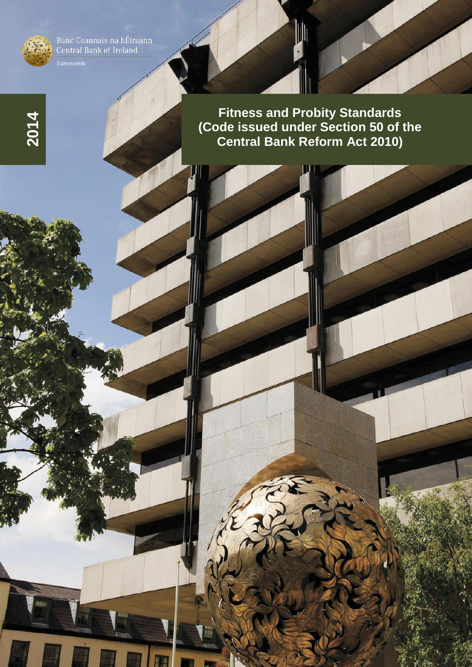

**2014**

Banc Ceannais na hÉireann<br>Central Bank of Ireland

**Fitness and Probity Standards (Code issued under Section 50 of the Central Bank Reform Act 2010)**

W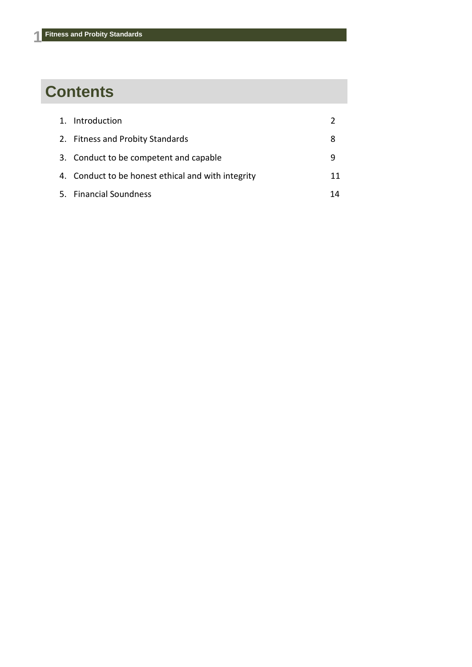# **Contents**

| 1. Introduction                                    |    |
|----------------------------------------------------|----|
| 2. Fitness and Probity Standards                   | 8  |
| 3. Conduct to be competent and capable             | q  |
| 4. Conduct to be honest ethical and with integrity | 11 |
| 5. Financial Soundness                             | 14 |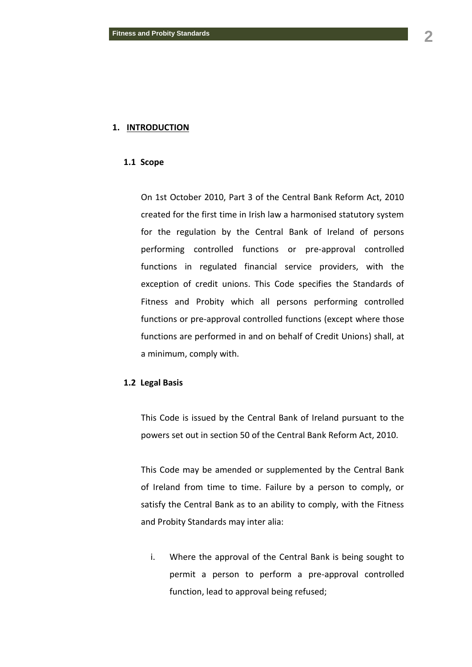#### **1. INTRODUCTION**

#### **1.1 Scope**

On 1st October 2010, Part 3 of the Central Bank Reform Act, 2010 created for the first time in Irish law a harmonised statutory system for the regulation by the Central Bank of Ireland of persons performing controlled functions or pre-approval controlled functions in regulated financial service providers, with the exception of credit unions. This Code specifies the Standards of Fitness and Probity which all persons performing controlled functions or pre-approval controlled functions (except where those functions are performed in and on behalf of Credit Unions) shall, at a minimum, comply with.

#### **1.2 Legal Basis**

This Code is issued by the Central Bank of Ireland pursuant to the powers set out in section 50 of the Central Bank Reform Act, 2010.

This Code may be amended or supplemented by the Central Bank of Ireland from time to time. Failure by a person to comply, or satisfy the Central Bank as to an ability to comply, with the Fitness and Probity Standards may inter alia:

i. Where the approval of the Central Bank is being sought to permit a person to perform a pre-approval controlled function, lead to approval being refused;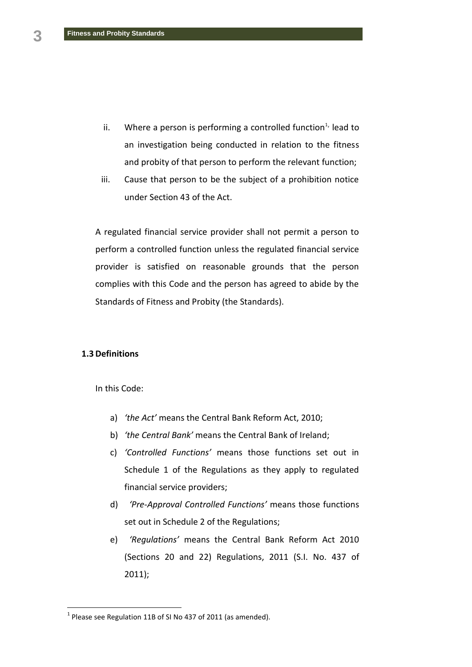- ii. Where a person is performing a controlled function $1/2$  lead to an investigation being conducted in relation to the fitness and probity of that person to perform the relevant function;
- iii. Cause that person to be the subject of a prohibition notice under Section 43 of the Act.

A regulated financial service provider shall not permit a person to perform a controlled function unless the regulated financial service provider is satisfied on reasonable grounds that the person complies with this Code and the person has agreed to abide by the Standards of Fitness and Probity (the Standards).

#### **1.3 Definitions**

 $\overline{a}$ 

In this Code:

- a) *'the Act'* means the Central Bank Reform Act, 2010;
- b) *'the Central Bank'* means the Central Bank of Ireland;
- c) *'Controlled Functions'* means those functions set out in Schedule 1 of the Regulations as they apply to regulated financial service providers;
- d) *'Pre-Approval Controlled Functions'* means those functions set out in Schedule 2 of the Regulations;
- e) *'Regulations'* means the Central Bank Reform Act 2010 (Sections 20 and 22) Regulations, 2011 (S.I. No. 437 of 2011);

 $<sup>1</sup>$  Please see Regulation 11B of SI No 437 of 2011 (as amended).</sup>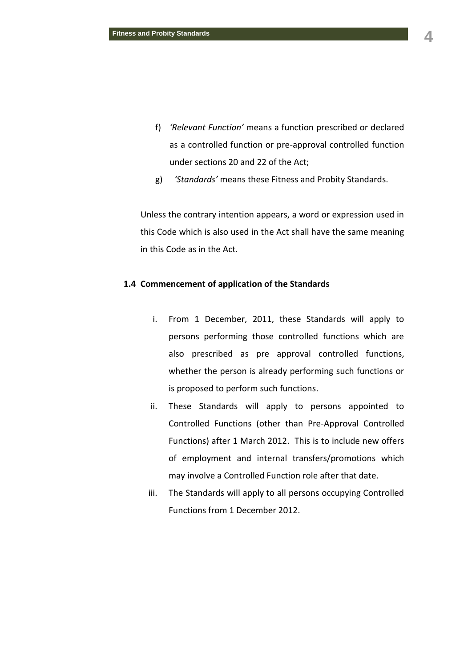- f) *'Relevant Function'* means a function prescribed or declared as a controlled function or pre-approval controlled function under sections 20 and 22 of the Act;
- g) *'Standards'* means these Fitness and Probity Standards.

Unless the contrary intention appears, a word or expression used in this Code which is also used in the Act shall have the same meaning in this Code as in the Act.

## **1.4 Commencement of application of the Standards**

- i. From 1 December, 2011, these Standards will apply to persons performing those controlled functions which are also prescribed as pre approval controlled functions, whether the person is already performing such functions or is proposed to perform such functions.
- ii. These Standards will apply to persons appointed to Controlled Functions (other than Pre-Approval Controlled Functions) after 1 March 2012. This is to include new offers of employment and internal transfers/promotions which may involve a Controlled Function role after that date.
- iii. The Standards will apply to all persons occupying Controlled Functions from 1 December 2012.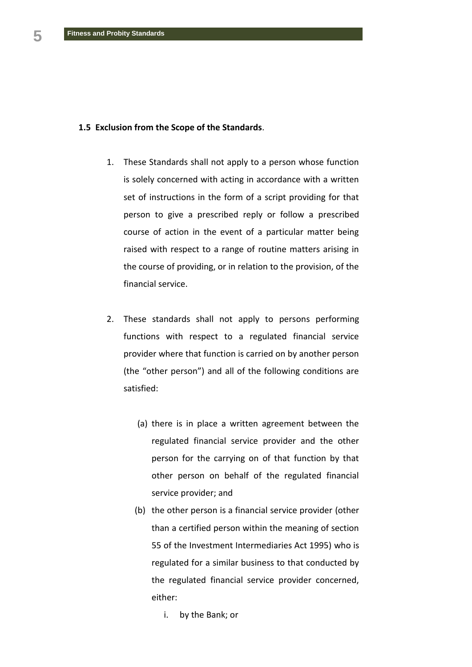### **1.5 Exclusion from the Scope of the Standards**.

- 1. These Standards shall not apply to a person whose function is solely concerned with acting in accordance with a written set of instructions in the form of a script providing for that person to give a prescribed reply or follow a prescribed course of action in the event of a particular matter being raised with respect to a range of routine matters arising in the course of providing, or in relation to the provision, of the financial service.
- 2. These standards shall not apply to persons performing functions with respect to a regulated financial service provider where that function is carried on by another person (the "other person") and all of the following conditions are satisfied:
	- (a) there is in place a written agreement between the regulated financial service provider and the other person for the carrying on of that function by that other person on behalf of the regulated financial service provider; and
	- (b) the other person is a financial service provider (other than a certified person within the meaning of section 55 of the Investment Intermediaries Act 1995) who is regulated for a similar business to that conducted by the regulated financial service provider concerned, either:
		- i. by the Bank; or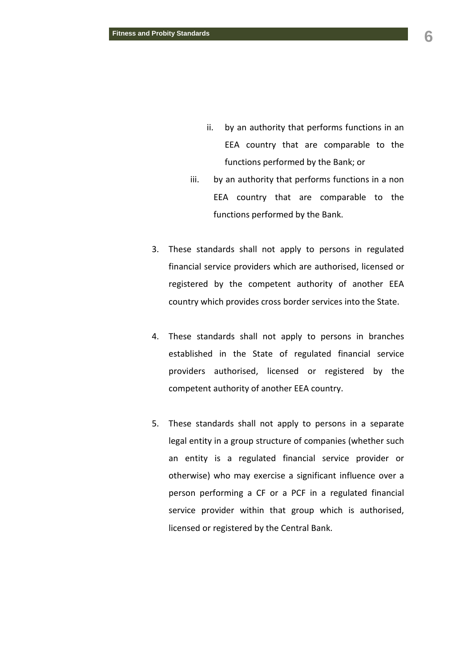- ii. by an authority that performs functions in an EEA country that are comparable to the functions performed by the Bank; or
- iii. by an authority that performs functions in a non EEA country that are comparable to the functions performed by the Bank.
- 3. These standards shall not apply to persons in regulated financial service providers which are authorised, licensed or registered by the competent authority of another EEA country which provides cross border services into the State.
- 4. These standards shall not apply to persons in branches established in the State of regulated financial service providers authorised, licensed or registered by the competent authority of another EEA country.
- 5. These standards shall not apply to persons in a separate legal entity in a group structure of companies (whether such an entity is a regulated financial service provider or otherwise) who may exercise a significant influence over a person performing a CF or a PCF in a regulated financial service provider within that group which is authorised, licensed or registered by the Central Bank.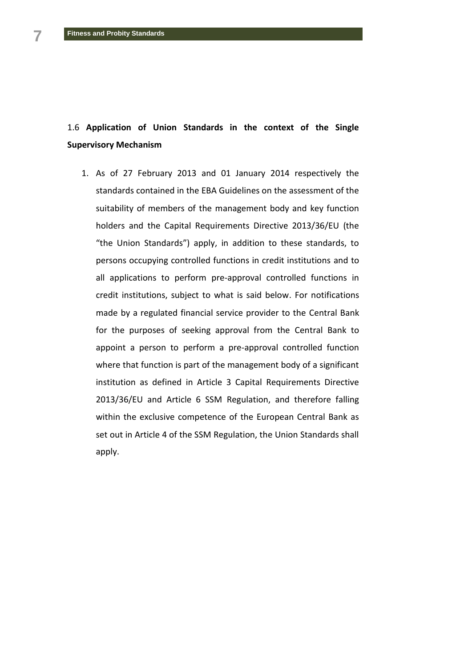# 1.6 **Application of Union Standards in the context of the Single Supervisory Mechanism**

1. As of 27 February 2013 and 01 January 2014 respectively the standards contained in the EBA Guidelines on the assessment of the suitability of members of the management body and key function holders and the Capital Requirements Directive 2013/36/EU (the "the Union Standards") apply, in addition to these standards, to persons occupying controlled functions in credit institutions and to all applications to perform pre-approval controlled functions in credit institutions, subject to what is said below. For notifications made by a regulated financial service provider to the Central Bank for the purposes of seeking approval from the Central Bank to appoint a person to perform a pre-approval controlled function where that function is part of the management body of a significant institution as defined in Article 3 Capital Requirements Directive 2013/36/EU and Article 6 SSM Regulation, and therefore falling within the exclusive competence of the European Central Bank as set out in Article 4 of the SSM Regulation, the Union Standards shall apply.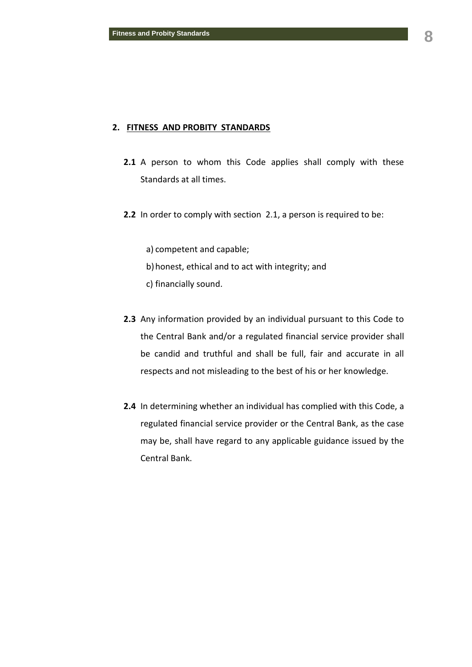#### **2. FITNESS AND PROBITY STANDARDS**

- 2.1 A person to whom this Code applies shall comply with these Standards at all times.
- **2.2** In order to comply with section 2.1, a person is required to be:
	- a) competent and capable;
	- b)honest, ethical and to act with integrity; and
	- c) financially sound.
- **2.3** Any information provided by an individual pursuant to this Code to the Central Bank and/or a regulated financial service provider shall be candid and truthful and shall be full, fair and accurate in all respects and not misleading to the best of his or her knowledge.
- **2.4** In determining whether an individual has complied with this Code, a regulated financial service provider or the Central Bank, as the case may be, shall have regard to any applicable guidance issued by the Central Bank.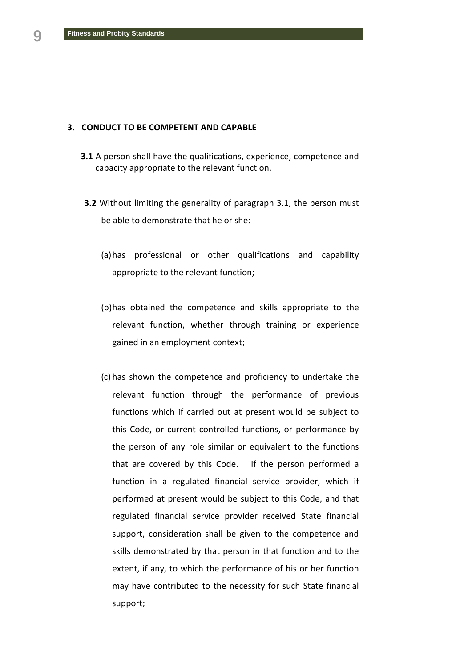#### **3. CONDUCT TO BE COMPETENT AND CAPABLE**

- **3.1** A person shall have the qualifications, experience, competence and capacity appropriate to the relevant function.
- **3.2** Without limiting the generality of paragraph 3.1, the person must be able to demonstrate that he or she:
	- (a)has professional or other qualifications and capability appropriate to the relevant function;
	- (b)has obtained the competence and skills appropriate to the relevant function, whether through training or experience gained in an employment context;
	- (c) has shown the competence and proficiency to undertake the relevant function through the performance of previous functions which if carried out at present would be subject to this Code, or current controlled functions, or performance by the person of any role similar or equivalent to the functions that are covered by this Code. If the person performed a function in a regulated financial service provider, which if performed at present would be subject to this Code, and that regulated financial service provider received State financial support, consideration shall be given to the competence and skills demonstrated by that person in that function and to the extent, if any, to which the performance of his or her function may have contributed to the necessity for such State financial support;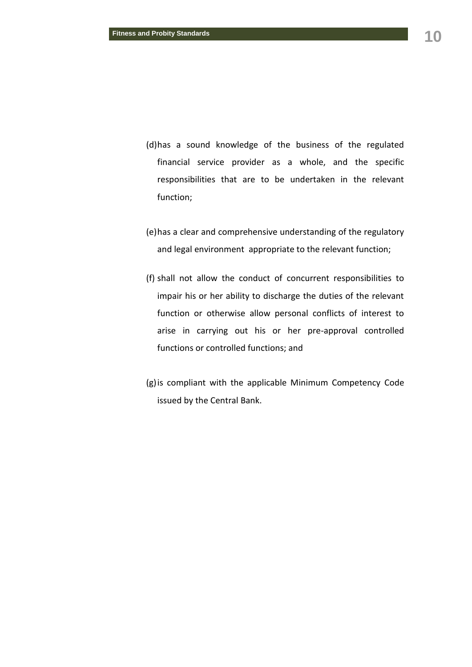- (d)has a sound knowledge of the business of the regulated financial service provider as a whole, and the specific responsibilities that are to be undertaken in the relevant function;
- (e)has a clear and comprehensive understanding of the regulatory and legal environment appropriate to the relevant function;
- (f) shall not allow the conduct of concurrent responsibilities to impair his or her ability to discharge the duties of the relevant function or otherwise allow personal conflicts of interest to arise in carrying out his or her pre-approval controlled functions or controlled functions; and
- (g)is compliant with the applicable Minimum Competency Code issued by the Central Bank.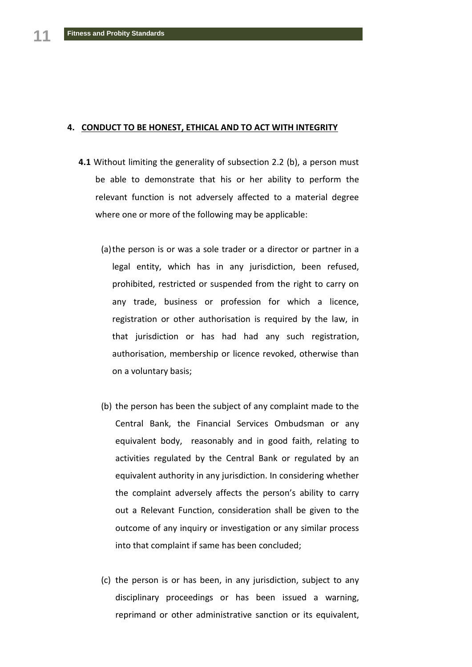#### **4. CONDUCT TO BE HONEST, ETHICAL AND TO ACT WITH INTEGRITY**

- **4.1** Without limiting the generality of subsection 2.2 (b), a person must be able to demonstrate that his or her ability to perform the relevant function is not adversely affected to a material degree where one or more of the following may be applicable:
	- (a)the person is or was a sole trader or a director or partner in a legal entity, which has in any jurisdiction, been refused, prohibited, restricted or suspended from the right to carry on any trade, business or profession for which a licence, registration or other authorisation is required by the law, in that jurisdiction or has had had any such registration, authorisation, membership or licence revoked, otherwise than on a voluntary basis;
	- (b) the person has been the subject of any complaint made to the Central Bank, the Financial Services Ombudsman or any equivalent body, reasonably and in good faith, relating to activities regulated by the Central Bank or regulated by an equivalent authority in any jurisdiction. In considering whether the complaint adversely affects the person's ability to carry out a Relevant Function, consideration shall be given to the outcome of any inquiry or investigation or any similar process into that complaint if same has been concluded;
	- (c) the person is or has been, in any jurisdiction, subject to any disciplinary proceedings or has been issued a warning, reprimand or other administrative sanction or its equivalent,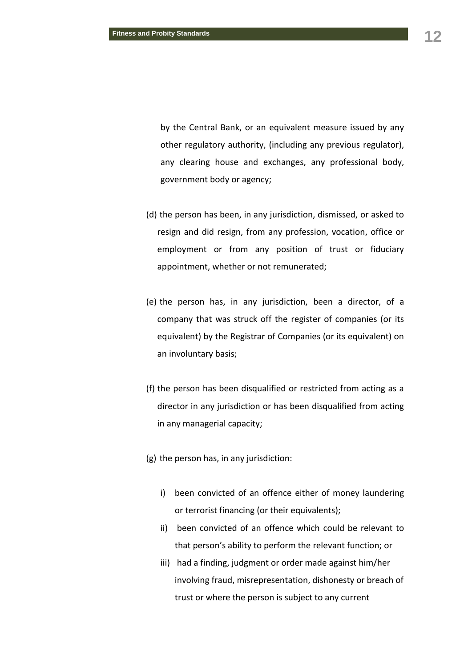by the Central Bank, or an equivalent measure issued by any other regulatory authority, (including any previous regulator), any clearing house and exchanges, any professional body, government body or agency;

- (d) the person has been, in any jurisdiction, dismissed, or asked to resign and did resign, from any profession, vocation, office or employment or from any position of trust or fiduciary appointment, whether or not remunerated;
- (e) the person has, in any jurisdiction, been a director, of a company that was struck off the register of companies (or its equivalent) by the Registrar of Companies (or its equivalent) on an involuntary basis;
- (f) the person has been disqualified or restricted from acting as a director in any jurisdiction or has been disqualified from acting in any managerial capacity;
- (g) the person has, in any jurisdiction:
	- i) been convicted of an offence either of money laundering or terrorist financing (or their equivalents);
	- ii) been convicted of an offence which could be relevant to that person's ability to perform the relevant function; or
	- iii) had a finding, judgment or order made against him/her involving fraud, misrepresentation, dishonesty or breach of trust or where the person is subject to any current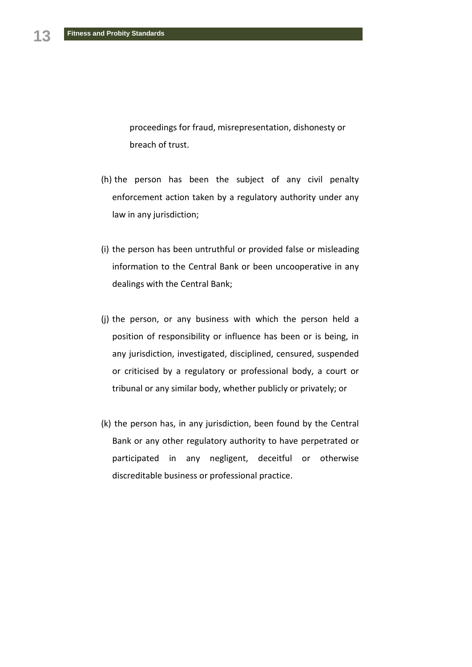proceedings for fraud, misrepresentation, dishonesty or breach of trust.

- (h) the person has been the subject of any civil penalty enforcement action taken by a regulatory authority under any law in any jurisdiction;
- (i) the person has been untruthful or provided false or misleading information to the Central Bank or been uncooperative in any dealings with the Central Bank;
- (j) the person, or any business with which the person held a position of responsibility or influence has been or is being, in any jurisdiction, investigated, disciplined, censured, suspended or criticised by a regulatory or professional body, a court or tribunal or any similar body, whether publicly or privately; or
- (k) the person has, in any jurisdiction, been found by the Central Bank or any other regulatory authority to have perpetrated or participated in any negligent, deceitful or otherwise discreditable business or professional practice.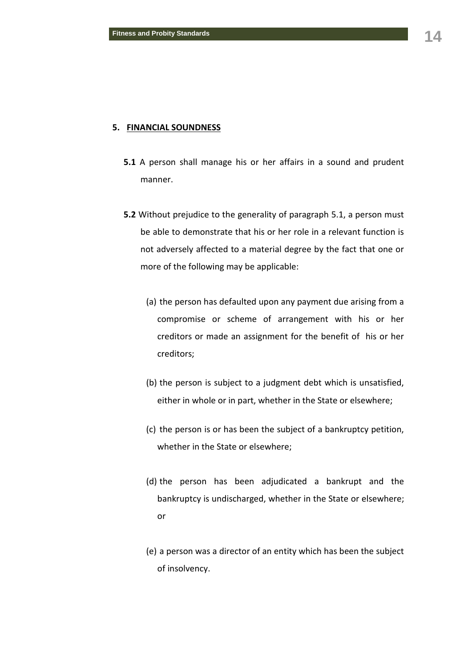### **5. FINANCIAL SOUNDNESS**

- **5.1** A person shall manage his or her affairs in a sound and prudent manner.
- **5.2** Without prejudice to the generality of paragraph 5.1, a person must be able to demonstrate that his or her role in a relevant function is not adversely affected to a material degree by the fact that one or more of the following may be applicable:
	- (a) the person has defaulted upon any payment due arising from a compromise or scheme of arrangement with his or her creditors or made an assignment for the benefit of his or her creditors;
	- (b) the person is subject to a judgment debt which is unsatisfied, either in whole or in part, whether in the State or elsewhere;
	- (c) the person is or has been the subject of a bankruptcy petition, whether in the State or elsewhere;
	- (d) the person has been adjudicated a bankrupt and the bankruptcy is undischarged, whether in the State or elsewhere; or
	- (e) a person was a director of an entity which has been the subject of insolvency.